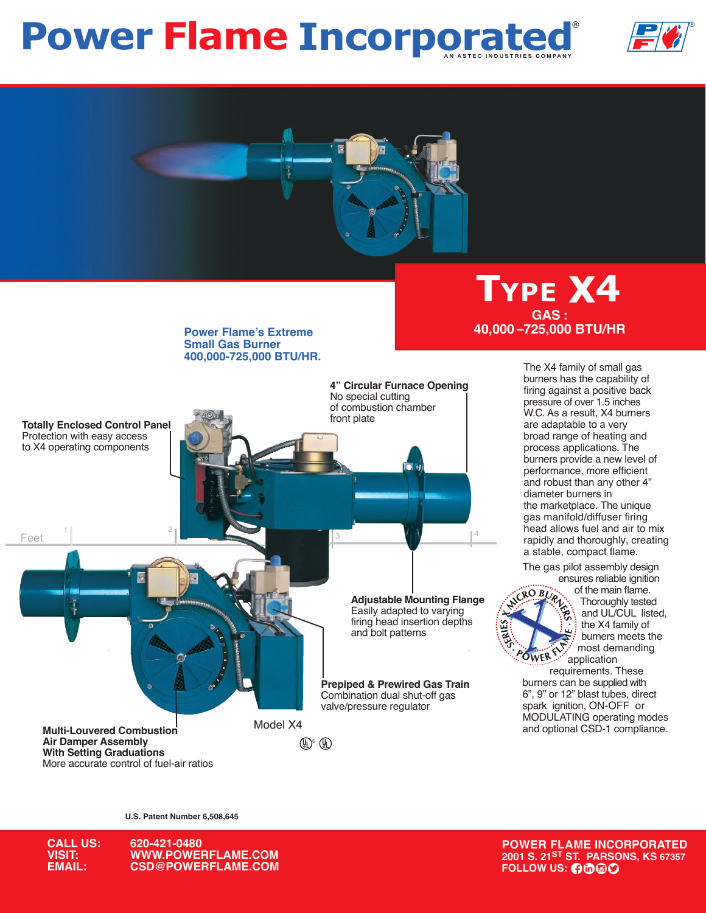# **Power Flame Incorporated**





**Power Flame's Extreme Small Gas Burner 400,000-725,000 BTU/HR.**



**Type X4 GAS : 40,000 –725,000 BTU/HR**

> The X4 family of small gas burners has the capability of firing against a positive back pressure of over 1.5 inches W.C. As a result, X4 burners are adaptable to a very broad range of heating and process applications. The burners provide a new level of performance, more efficient and robust than any other 4" diameter burners in the marketplace. The unique gas manifold/diffuser firing head allows fuel and air to mix rapidly and thoroughly, creating a stable, compact flame.

The gas pilot assembly design ensures reliable ignition



of the main flame. Thoroughly tested and UL/CUL listed, the X4 family of burners meets the most demanding application

 requirements. These burners can be supplied with 6", 9" or 12" blast tubes, direct spark ignition, ON-OFF or<br>MODULATING operating modes

**U.S. Patent Number 6,508,645**



**CALL US: 620-421-0480 VISIT: WWW.POWERFLAME.COM EXPLOWERFLAME.COM EXPLOYERFLAME.COM FOLLOW US:**  $\theta \Phi \Theta \Phi$ 

**POWER FLAME INCORPORATED 2001 S. 21ST ST. PARSONS, KS 67357**